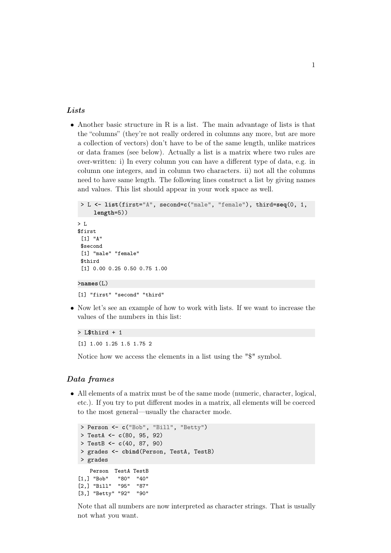## **Lists**

• Another basic structure in R is a list. The main advantage of lists is that the "columns" (they're not really ordered in columns any more, but are more a collection of vectors) don't have to be of the same length, unlike matrices or data frames (see below). Actually a list is a matrix where two rules are over-written: i) In every column you can have a different type of data, e.g. in column one integers, and in column two characters. ii) not all the columns need to have same length. The following lines construct a list by giving names and values. This list should appear in your work space as well.

```
> L <- list(first="A", second=c("male", "female"), third=seq(0, 1,
     length=5))
> L
$first
 [1] "A"
$second
 [1] "male" "female"
 $third
 [1] 0.00 0.25 0.50 0.75 1.00
>names(L)
[1] "first" "second" "third"
```
• Now let's see an example of how to work with lists. If we want to increase the values of the numbers in this list:

```
> L$third + 1
[1] 1.00 1.25 1.5 1.75 2
```
Notice how we access the elements in a list using the "\$" symbol.

## Data frames

• All elements of a matrix must be of the same mode (numeric, character, logical, etc.). If you try to put different modes in a matrix, all elements will be coerced to the most general—usually the character mode.

```
> Person <- c("Bob", "Bill", "Betty")
> TestA <- c(80, 95, 92)
> TestB <- c(40, 87, 90)
> grades <- cbind(Person, TestA, TestB)
> grades
   Person TestA TestB
[1,] "Bob" "80" "40"
[2,] "Bill" "95" "87"
[3,] "Betty" "92" "90"
```
Note that all numbers are now interpreted as character strings. That is usually not what you want.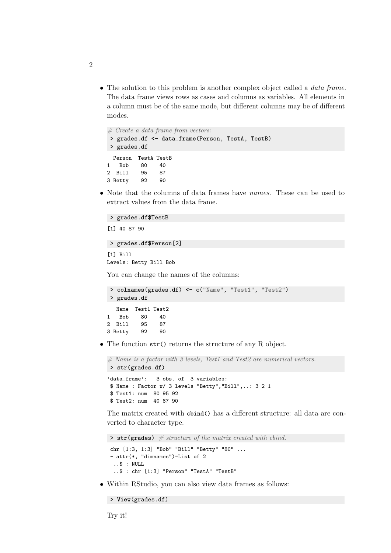• The solution to this problem is another complex object called a *data frame*. The data frame views rows as cases and columns as variables. All elements in a column must be of the same mode, but different columns may be of different modes.

```
# Create a data frame from vectors:> grades.df <- data.frame(Person, TestA, TestB)
> grades.df
 Person TestA TestB
1 Bob 80 40
```
• Note that the columns of data frames have *names*. These can be used to extract values from the data frame.

```
> grades.df$TestB
[1] 40 87 90
> grades.df$Person[2]
[1] Bill
```
2 Bill 95 87 3 Betty 92 90

Levels: Betty Bill Bob

You can change the names of the columns:

```
> colnames(grades.df) <- c("Name", "Test1", "Test2")
> grades.df
  Name Test1 Test2
1 Bob 80 40
2 Bill 95 87
3 Betty 92 90
```
• The function str() returns the structure of any R object.

 $#$  Name is a factor with 3 levels, Test1 and Test2 are numerical vectors. > str(grades.**df**)

```
'data.frame': 3 obs. of 3 variables:
$ Name : Factor w/ 3 levels "Betty","Bill",..: 3 2 1
$ Test1: num 80 95 92
$ Test2: num 40 87 90
```
The matrix created with **cbind**() has a different structure: all data are converted to character type.

```
\triangleright str(grades) # structure of the matrix created with cbind.
chr [1:3, 1:3] "Bob" "Bill" "Betty" "80" ...
- attr(*, "dimnames")=List of 2
  ..$ : NULL
  ..$ : chr [1:3] "Person" "TestA" "TestB"
```
• Within RStudio, you can also view data frames as follows:

```
> View(grades.df)
```
Try it!

```
2
```